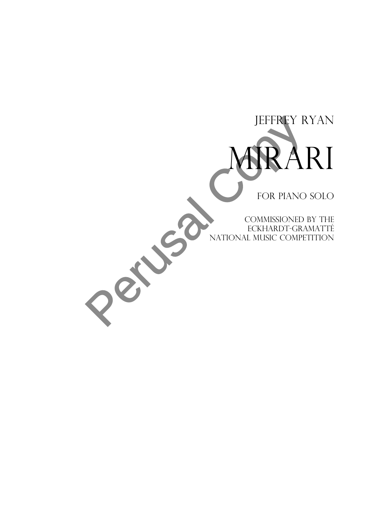| <b>JEFFREY RYAN</b><br>RARI                                                                     |
|-------------------------------------------------------------------------------------------------|
| FOR PIANO SOLO<br><b>COMMISSIONED BY THE</b><br>ECKHARDT-GRAMATTÉ<br>NATIONAL MUSIC COMPETITION |
|                                                                                                 |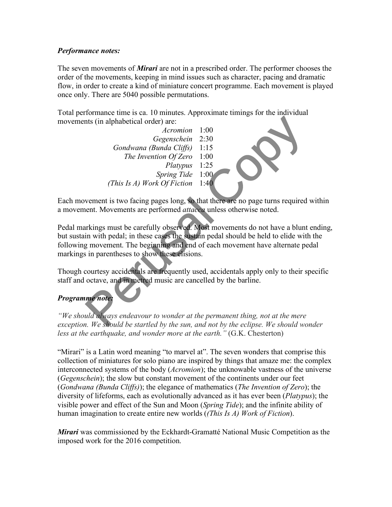### *Performance notes:*

The seven movements of *Mirari* are not in a prescribed order. The performer chooses the order of the movements, keeping in mind issues such as character, pacing and dramatic flow, in order to create a kind of miniature concert programme. Each movement is played once only. There are 5040 possible permutations.

Total performance time is ca. 10 minutes. Approximate timings for the individual movements (in alphabetical order) are:

The intervention of *Secure Copyright Copyright Copyrightation*<br> *Condowana (Bunda Cliffs)* 1:15<br> *The Invention Of Zero* 1:00<br> *Platypus* 1:25<br> *Chis Is A) Work Of Fiction* 1:40<br> *Chis Is A) Work Of Fiction* 1:40<br>
verment *Acromion* 1:00 *Gegenschein* 2:30 *Gondwana (Bunda Cliffs)* 1:15 *The Invention Of Zero* 1:00 *Platypus* 1:25 *Spring Tide* 1:00 *(This Is A) Work Of Fiction* 1:40

Each movement is two facing pages long, so that there are no page turns required within a movement. Movements are performed *attacca* unless otherwise noted.

Pedal markings must be carefully observed. Most movements do not have a blunt ending, but sustain with pedal; in these cases the sustain pedal should be held to elide with the following movement. The beginning and end of each movement have alternate pedal markings in parentheses to show these elisions.

Though courtesy accidentals are frequently used, accidentals apply only to their specific staff and octave, and in metred music are cancelled by the barline.

### *Programme note:*

*"We should always endeavour to wonder at the permanent thing, not at the mere exception. We should be startled by the sun, and not by the eclipse. We should wonder less at the earthquake, and wonder more at the earth."* (G.K. Chesterton)

"Mirari" is a Latin word meaning "to marvel at". The seven wonders that comprise this collection of miniatures for solo piano are inspired by things that amaze me: the complex interconnected systems of the body (*Acromion*); the unknowable vastness of the universe (*Gegenschein*); the slow but constant movement of the continents under our feet (*Gondwana (Bunda Cliffs)*); the elegance of mathematics (*The Invention of Zero*); the diversity of lifeforms, each as evolutionally advanced as it has ever been (*Platypus*); the visible power and effect of the Sun and Moon (*Spring Tide*); and the infinite ability of human imagination to create entire new worlds (*(This Is A) Work of Fiction*).

*Mirari* was commissioned by the Eckhardt-Gramatté National Music Competition as the imposed work for the 2016 competition.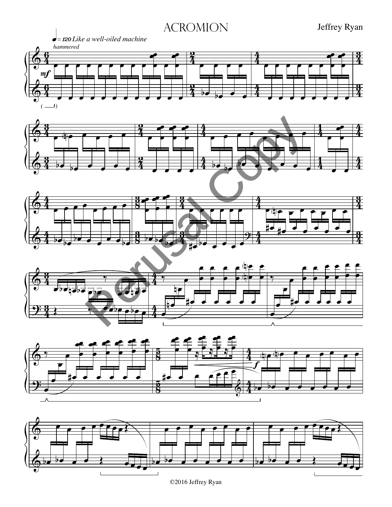





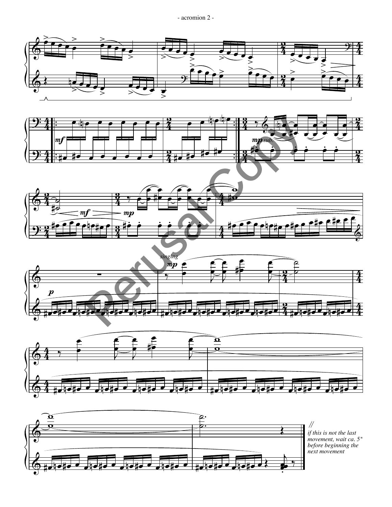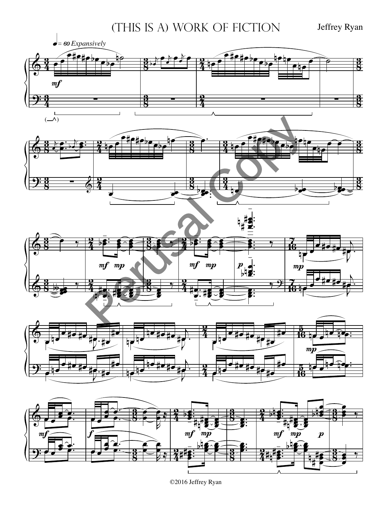

<sup>©2016</sup> Jeffrey Ryan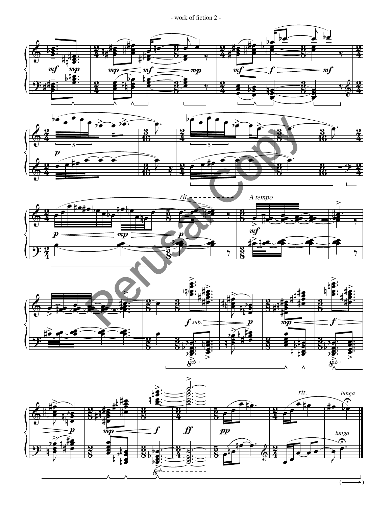#### - work of fiction 2 -









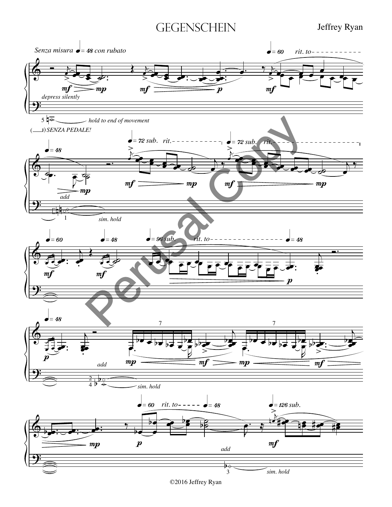## GEGENSCHEIN Jeffrey Ryan

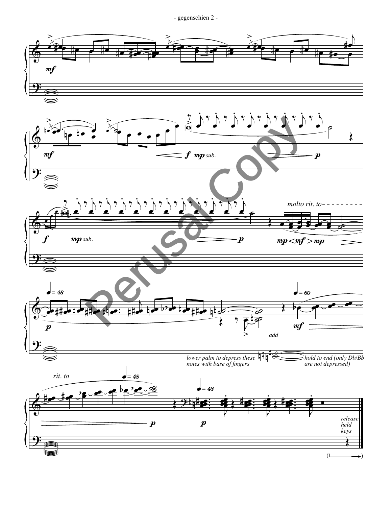- gegenschien 2 -

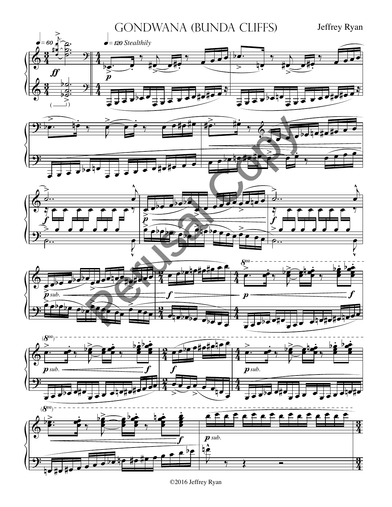











<sup>©2016</sup> Jeffrey Ryan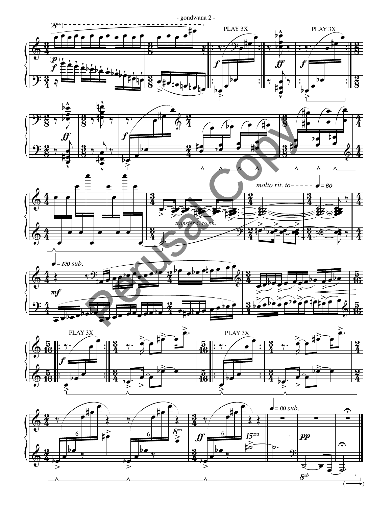









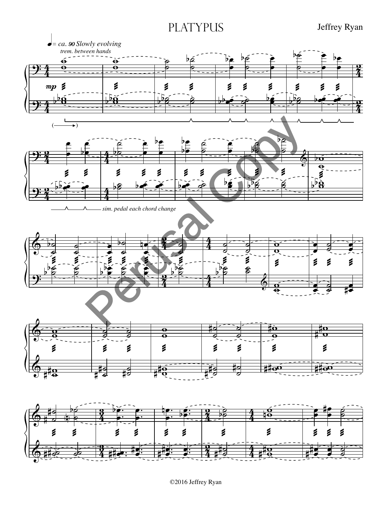PLATYPUS Jeffrey Ryan



©2016 Jeffrey Ryan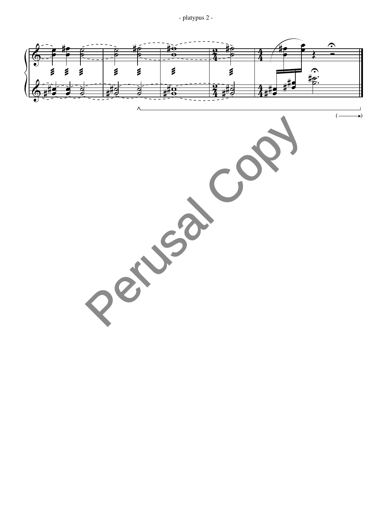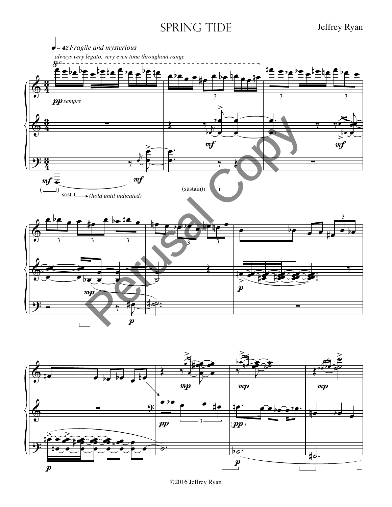# SPRING TIDE Jeffrey Ryan



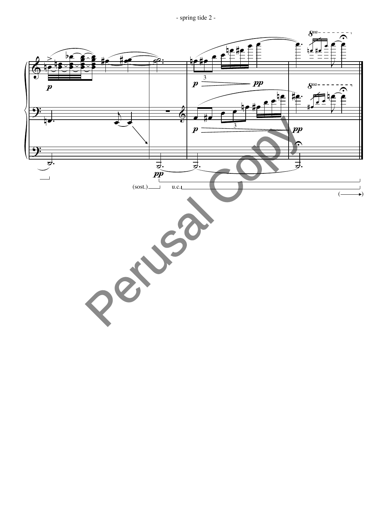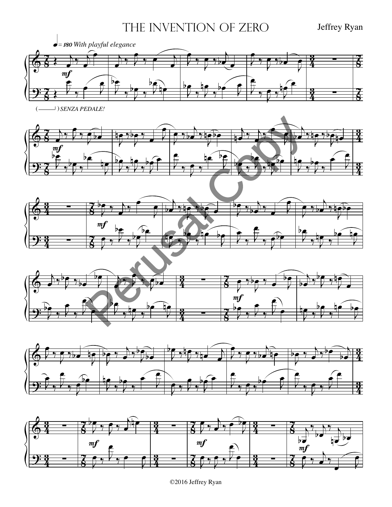

<sup>(</sup> ) *SENZA PEDALE!*